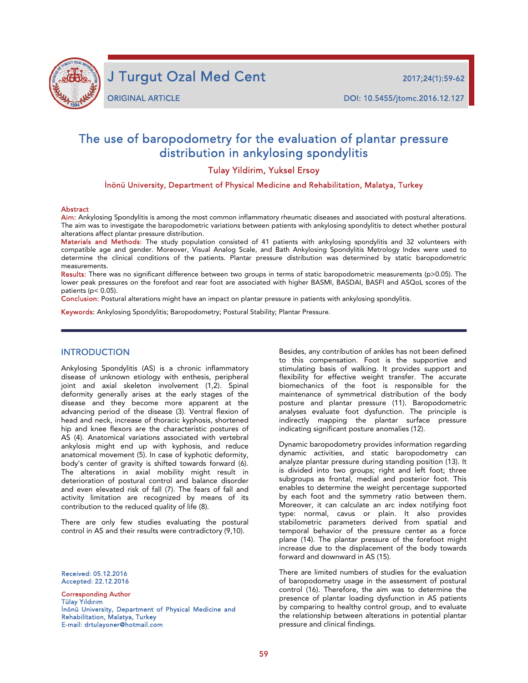

j

J Turgut Ozal Med Cent 2017;24(1):59-62

# The use of baropodometry for the evaluation of plantar pressure distribution in ankylosing spondylitis

Tulay Yildirim, Yuksel Ersoy

İnönü University, Department of Physical Medicine and Rehabilitation, Malatya, Turkey

#### **Abstract**

Aim: Ankylosing Spondylitis is among the most common inflammatory rheumatic diseases and associated with postural alterations. The aim was to investigate the baropodometric variations between patients with ankylosing spondylitis to detect whether postural alterations affect plantar pressure distribution.

Materials and Methods: The study population consisted of 41 patients with ankylosing spondylitis and 32 volunteers with compatible age and gender. Moreover, Visual Analog Scale, and Bath Ankylosing Spondylitis Metrology Index were used to determine the clinical conditions of the patients. Plantar pressure distribution was determined by static baropodometric measurements.

Results: There was no significant difference between two groups in terms of static baropodometric measurements ( $p$ >0.05). The lower peak pressures on the forefoot and rear foot are associated with higher BASMI, BASDAI, BASFI and ASQoL scores of the patients (p< 0.05).

Conclusion: Postural alterations might have an impact on plantar pressure in patients with ankylosing spondylitis.

Keywords: Ankylosing Spondylitis; Baropodometry; Postural Stability; Plantar Pressure.

## INTRODUCTION

Ankylosing Spondylitis (AS) is a chronic inflammatory disease of unknown etiology with enthesis, peripheral joint and axial skeleton involvement (1,2). Spinal deformity generally arises at the early stages of the disease and they become more apparent at the advancing period of the disease (3). Ventral flexion of head and neck, increase of thoracic kyphosis, shortened hip and knee flexors are the characteristic postures of AS (4). Anatomical variations associated with vertebral ankylosis might end up with kyphosis, and reduce anatomical movement (5). In case of kyphotic deformity, body's center of gravity is shifted towards forward (6). The alterations in axial mobility might result in deterioration of postural control and balance disorder and even elevated risk of fall (7). The fears of fall and activity limitation are recognized by means of its contribution to the reduced quality of life (8).

There are only few studies evaluating the postural control in AS and their results were contradictory (9,10).

Received: 05.12.2016 Accepted: 22.12.2016

Corresponding Author Tülay Yıldırım İnönü University, Department of Physical Medicine and Rehabilitation, Malatya, Turkey E-mail: drtulayoner@hotmail.com

Besides, any contribution of ankles has not been defined to this compensation. Foot is the supportive and stimulating basis of walking. It provides support and flexibility for effective weight transfer. The accurate biomechanics of the foot is responsible for the maintenance of symmetrical distribution of the body posture and plantar pressure (11). Baropodometric analyses evaluate foot dysfunction. The principle is indirectly mapping the plantar surface pressure indicating significant posture anomalies (12).

Dynamic baropodometry provides information regarding dynamic activities, and static baropodometry can analyze plantar pressure during standing position (13). It is divided into two groups; right and left foot; three subgroups as frontal, medial and posterior foot. This enables to determine the weight percentage supported by each foot and the symmetry ratio between them. Moreover, it can calculate an arc index notifying foot type: normal, cavus or plain. It also provides stabilometric parameters derived from spatial and temporal behavior of the pressure center as a force plane (14). The plantar pressure of the forefoot might increase due to the displacement of the body towards forward and downward in AS (15).

There are limited numbers of studies for the evaluation of baropodometry usage in the assessment of postural control (16). Therefore, the aim was to determine the presence of plantar loading dysfunction in AS patients by comparing to healthy control group, and to evaluate the relationship between alterations in potential plantar pressure and clinical findings.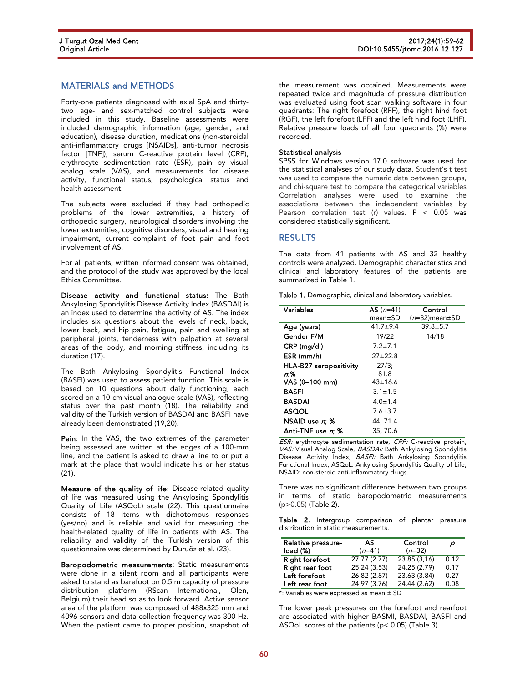## MATERIALS and METHODS

Forty-one patients diagnosed with axial SpA and thirtytwo age- and sex-matched control subjects were included in this study. Baseline assessments were included demographic information (age, gender, and education), disease duration, medications (non-steroidal anti-inflammatory drugs [NSAIDs], anti-tumor necrosis factor [TNF]), serum C-reactive protein level (CRP), erythrocyte sedimentation rate (ESR), pain by visual analog scale (VAS), and measurements for disease activity, functional status, psychological status and health assessment.

The subjects were excluded if they had orthopedic problems of the lower extremities, a history of orthopedic surgery, neurological disorders involving the lower extremities, cognitive disorders, visual and hearing impairment, current complaint of foot pain and foot involvement of AS.

For all patients, written informed consent was obtained, and the protocol of the study was approved by the local Ethics Committee.

Disease activity and functional status: The Bath Ankylosing Spondylitis Disease Activity Index (BASDAI) is an index used to determine the activity of AS. The index includes six questions about the levels of neck, back, lower back, and hip pain, fatigue, pain and swelling at peripheral joints, tenderness with palpation at several areas of the body, and morning stiffness, including its duration (17).

The Bath Ankylosing Spondylitis Functional Index (BASFI) was used to assess patient function. This scale is based on 10 questions about daily functioning, each scored on a 10-cm visual analogue scale (VAS), reflecting status over the past month (18). The reliability and validity of the Turkish version of BASDAI and BASFI have already been demonstrated (19,20).

Pain: In the VAS, the two extremes of the parameter being assessed are written at the edges of a 100-mm line, and the patient is asked to draw a line to or put a mark at the place that would indicate his or her status (21).

Measure of the quality of life: Disease-related quality of life was measured using the Ankylosing Spondylitis Quality of Life (ASQoL) scale (22). This questionnaire consists of 18 items with dichotomous responses (yes/no) and is reliable and valid for measuring the health-related quality of life in patients with AS. The reliability and validity of the Turkish version of this questionnaire was determined by Duruöz et al. (23).

Baropodometric measurements: Static measurements were done in a silent room and all participants were asked to stand as barefoot on 0.5 m capacity of pressure distribution platform (RScan International, Olen, Belgium) their head so as to look forward. Active sensor area of the platform was composed of 488x325 mm and 4096 sensors and data collection frequency was 300 Hz. When the patient came to proper position, snapshot of

the measurement was obtained. Measurements were repeated twice and magnitude of pressure distribution was evaluated using foot scan walking software in four quadrants: The right forefoot (RFF), the right hind foot (RGF), the left forefoot (LFF) and the left hind foot (LHF). Relative pressure loads of all four quadrants (%) were recorded.

#### Statistical analysis

SPSS for Windows version 17.0 software was used for the statistical analyses of our study data. Student's t test was used to compare the numeric data between groups, and chi-square test to compare the categorical variables Correlation analyses were used to examine the associations between the independent variables by Pearson correlation test (r) values.  $P < 0.05$  was considered statistically significant.

### RESULTS

The data from 41 patients with AS and 32 healthy controls were analyzed. Demographic characteristics and clinical and laboratory features of the patients are summarized in Table 1.

|  | Table 1. Demographic, clinical and laboratory variables. |  |  |  |
|--|----------------------------------------------------------|--|--|--|
|--|----------------------------------------------------------|--|--|--|

| Variables              | $AS(n=41)$    | Control                |
|------------------------|---------------|------------------------|
|                        | $mean \pm SD$ | $(n=32)$ mean $\pm$ SD |
| Age (years)            | $41.7 + 9.4$  | $39.8 \pm 5.7$         |
| Gender F/M             | 19/22         | 14/18                  |
| CRP (mg/dl)            | $7.2 \pm 7.1$ |                        |
| ESR (mm/h)             | $27 + 22.8$   |                        |
| HLA-B27 seropositivity | 27/3:         |                        |
| n:%                    | 81.8          |                        |
| VAS (0-100 mm)         | $43 \pm 16.6$ |                        |
| <b>BASFI</b>           | $3.1 \pm 1.5$ |                        |
| <b>BASDAI</b>          | $4.0 \pm 1.4$ |                        |
| <b>ASQOL</b>           | $7.6 \pm 3.7$ |                        |
| NSAID use $n$ : %      | 44, 71.4      |                        |
| Anti-TNF use n: %      | 35, 70.6      |                        |

ESR: erythrocyte sedimentation rate, CRP: C-reactive protein, VAS: Visual Analog Scale, BASDAI: Bath Ankylosing Spondylitis Disease Activity Index, BASFI: Bath Ankylosing Spondylitis Functional Index, ASQoL: Ankylosing Spondylitis Quality of Life, NSAID: non-steroid anti-inflammatory drugs.

There was no significant difference between two groups in terms of static baropodometric measurements (p>0.05) (Table 2).

Table 2. Intergroup comparison of plantar pressure distribution in static measurements.

| Relative pressure-<br>load (%) | AS.<br>$(n=41)$ | Control<br>$(n=32)$ | D    |
|--------------------------------|-----------------|---------------------|------|
| <b>Right forefoot</b>          | 27.77(2.77)     | 23.85 (3.16)        | 0.12 |
| Right rear foot                | 25.24 (3.53)    | 24.25 (2.79)        | 0.17 |
| Left forefoot                  | 26.82 (2.87)    | 23.63 (3.84)        | 0.27 |
| Left rear foot                 | 24.97 (3.76)    | 24.44 (2.62)        | 0.08 |

\*: Variables were expressed as mean ± SD

The lower peak pressures on the forefoot and rearfoot are associated with higher BASMI, BASDAI, BASFI and ASQoL scores of the patients (p< 0.05) (Table 3).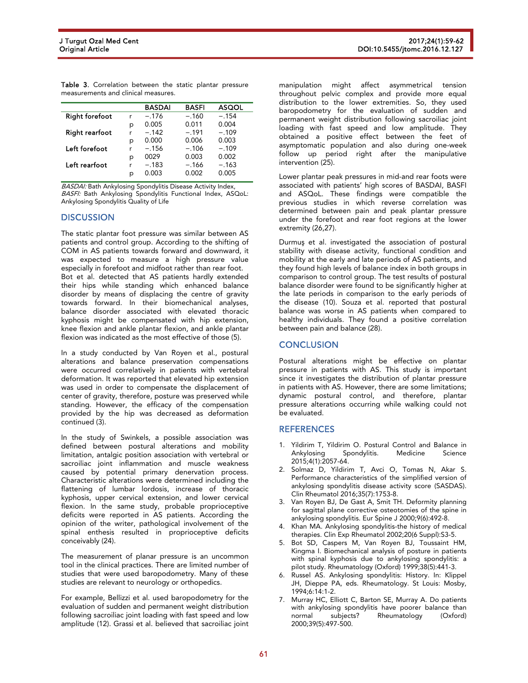Table 3. Correlation between the static plantar pressure measurements and clinical measures.

|                       |   | <b>BASDAI</b> | <b>BASFI</b> | <b>ASQOL</b> |
|-----------------------|---|---------------|--------------|--------------|
| <b>Right forefoot</b> | r | $-.176$       | $-.160$      | $-.154$      |
|                       | р | 0.005         | 0.011        | 0.004        |
| <b>Right rearfoot</b> | r | $-.142$       | $-.191$      | $-.109$      |
|                       | р | 0.000         | 0.006        | 0.003        |
| Left forefoot         | r | $-.156$       | $-.106$      | $-.109$      |
|                       | р | 0029          | 0.003        | 0.002        |
| Left rearfoot         | r | $-.183$       | $-.166$      | $-.163$      |
|                       | р | 0.003         | 0.002        | 0.005        |

BASDAI: Bath Ankylosing Spondylitis Disease Activity Index, BASFI: Bath Ankylosing Spondylitis Functional Index, ASQoL: Ankylosing Spondylitis Quality of Life

## **DISCUSSION**

The static plantar foot pressure was similar between AS patients and control group. According to the shifting of COM in AS patients towards forward and downward, it was expected to measure a high pressure value especially in forefoot and midfoot rather than rear foot. Bot et al. detected that AS patients hardly extended their hips while standing which enhanced balance disorder by means of displacing the centre of gravity towards forward. In their biomechanical analyses, balance disorder associated with elevated thoracic kyphosis might be compensated with hip extension, knee flexion and ankle plantar flexion, and ankle plantar flexion was indicated as the most effective of those (5).

In a study conducted by Van Royen et al., postural alterations and balance preservation compensations were occurred correlatively in patients with vertebral deformation. It was reported that elevated hip extension was used in order to compensate the displacement of center of gravity, therefore, posture was preserved while standing. However, the efficacy of the compensation provided by the hip was decreased as deformation continued (3).

In the study of Swinkels, a possible association was defined between postural alterations and mobility limitation, antalgic position association with vertebral or sacroiliac joint inflammation and muscle weakness caused by potential primary denervation process. Characteristic alterations were determined including the flattening of lumbar lordosis, increase of thoracic kyphosis, upper cervical extension, and lower cervical flexion. In the same study, probable proprioceptive deficits were reported in AS patients. According the opinion of the writer, pathological involvement of the spinal enthesis resulted in proprioceptive deficits conceivably (24).

The measurement of planar pressure is an uncommon tool in the clinical practices. There are limited number of studies that were used baropodometry. Many of these studies are relevant to neurology or orthopedics.

For example, Bellizzi et al. used baropodometry for the evaluation of sudden and permanent weight distribution following sacroiliac joint loading with fast speed and low amplitude (12). Grassi et al. believed that sacroiliac joint

manipulation might affect asymmetrical tension throughout pelvic complex and provide more equal distribution to the lower extremities. So, they used baropodometry for the evaluation of sudden and permanent weight distribution following sacroiliac joint loading with fast speed and low amplitude. They obtained a positive effect between the feet of asymptomatic population and also during one-week follow up period right after the manipulative intervention (25).

Lower plantar peak pressures in mid-and rear foots were associated with patients' high scores of BASDAI, BASFI and ASQoL. These findings were compatible the previous studies in which reverse correlation was determined between pain and peak plantar pressure under the forefoot and rear foot regions at the lower extremity (26,27).

Durmuş et al. investigated the association of postural stability with disease activity, functional condition and mobility at the early and late periods of AS patients, and they found high levels of balance index in both groups in comparison to control group. The test results of postural balance disorder were found to be significantly higher at the late periods in comparison to the early periods of the disease (10). Souza et al. reported that postural balance was worse in AS patients when compared to healthy individuals. They found a positive correlation between pain and balance (28).

## **CONCLUSION**

Postural alterations might be effective on plantar pressure in patients with AS. This study is important since it investigates the distribution of plantar pressure in patients with AS. However, there are some limitations; dynamic postural control, and therefore, plantar pressure alterations occurring while walking could not be evaluated.

## **REFERENCES**

- 1. Yildirim T, Yildirim O. Postural Control and Balance in Ankylosing Spondylitis. Medicine Science 2015;4(1):2057-64.
- 2. Solmaz D, Yildirim T, Avci O, Tomas N, Akar S. Performance characteristics of the simplified version of ankylosing spondylitis disease activity score (SASDAS). Clin Rheumatol 2016;35(7):1753-8.
- 3. Van Royen BJ, De Gast A, Smit TH. Deformity planning for sagittal plane corrective osteotomies of the spine in ankylosing spondylitis. Eur Spine J 2000;9(6):492-8.
- 4. Khan MA. Ankylosing spondylitis-the history of medical therapies. Clin Exp Rheumatol 2002;20(6 Suppl):S3-5.
- 5. Bot SD, Caspers M, Van Royen BJ, Toussaint HM, Kingma I. Biomechanical analysis of posture in patients with spinal kyphosis due to ankylosing spondylitis: a pilot study. Rheumatology (Oxford) 1999;38(5):441-3.
- 6. Russel AS. Ankylosing spondylitis: History. In: Klippel JH, Dieppe PA, eds. Rheumatology. St Louis: Mosby, 1994;6:14:1-2.
- 7. Murray HC, Elliott C, Barton SE, Murray A. Do patients with ankylosing spondylitis have poorer balance than normal subjects? Rheumatology (Oxford) 2000;39(5):497-500.